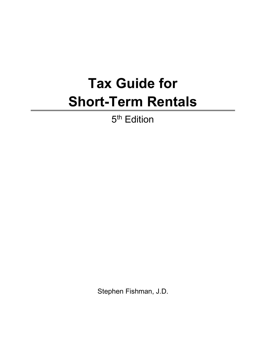## **Tax Guide for Short-Term Rentals**

5<sup>th</sup> Edition

Stephen Fishman, J.D.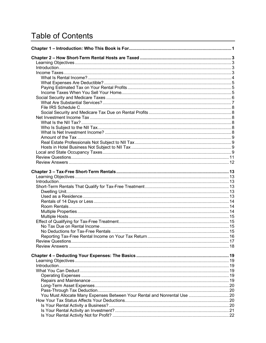## **Table of Contents**

| You Must Allocate Many Expenses Between Your Rental and Nonrental Use  20 |  |
|---------------------------------------------------------------------------|--|
|                                                                           |  |
|                                                                           |  |
|                                                                           |  |
|                                                                           |  |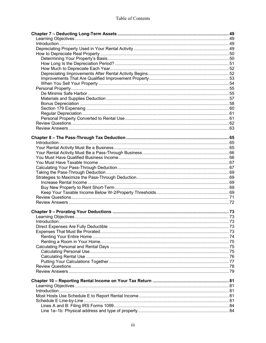## Table of Contents

| 100 more as extended the component component of the control of the control of the control of the control of the control of the control of the control of the control of the control of the control of the control of the contr |  |
|--------------------------------------------------------------------------------------------------------------------------------------------------------------------------------------------------------------------------------|--|
|                                                                                                                                                                                                                                |  |
|                                                                                                                                                                                                                                |  |
|                                                                                                                                                                                                                                |  |
|                                                                                                                                                                                                                                |  |
|                                                                                                                                                                                                                                |  |
|                                                                                                                                                                                                                                |  |
|                                                                                                                                                                                                                                |  |
|                                                                                                                                                                                                                                |  |
|                                                                                                                                                                                                                                |  |
|                                                                                                                                                                                                                                |  |
|                                                                                                                                                                                                                                |  |
|                                                                                                                                                                                                                                |  |
|                                                                                                                                                                                                                                |  |
|                                                                                                                                                                                                                                |  |
|                                                                                                                                                                                                                                |  |
|                                                                                                                                                                                                                                |  |
|                                                                                                                                                                                                                                |  |
|                                                                                                                                                                                                                                |  |
|                                                                                                                                                                                                                                |  |
|                                                                                                                                                                                                                                |  |
|                                                                                                                                                                                                                                |  |
|                                                                                                                                                                                                                                |  |
|                                                                                                                                                                                                                                |  |
|                                                                                                                                                                                                                                |  |
|                                                                                                                                                                                                                                |  |
|                                                                                                                                                                                                                                |  |